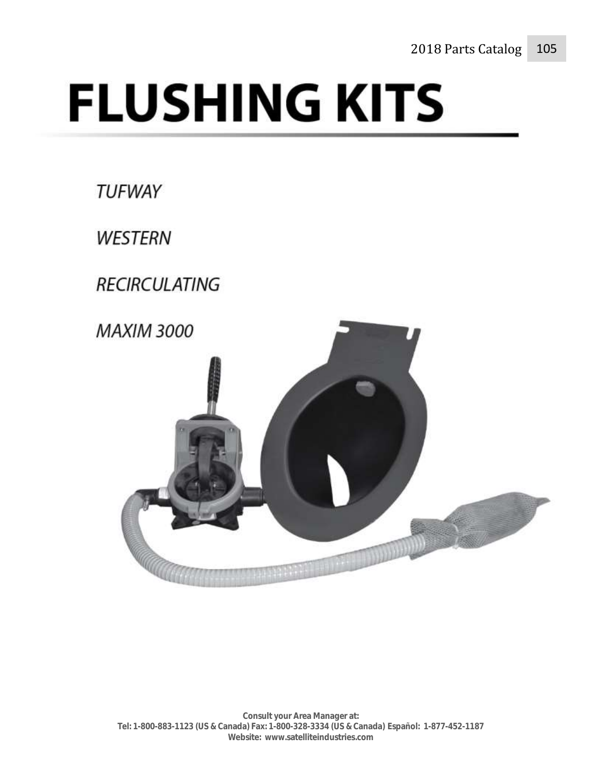# **FLUSHING KITS**

**TUFWAY** 

**WESTERN** 

**RECIRCULATING** 

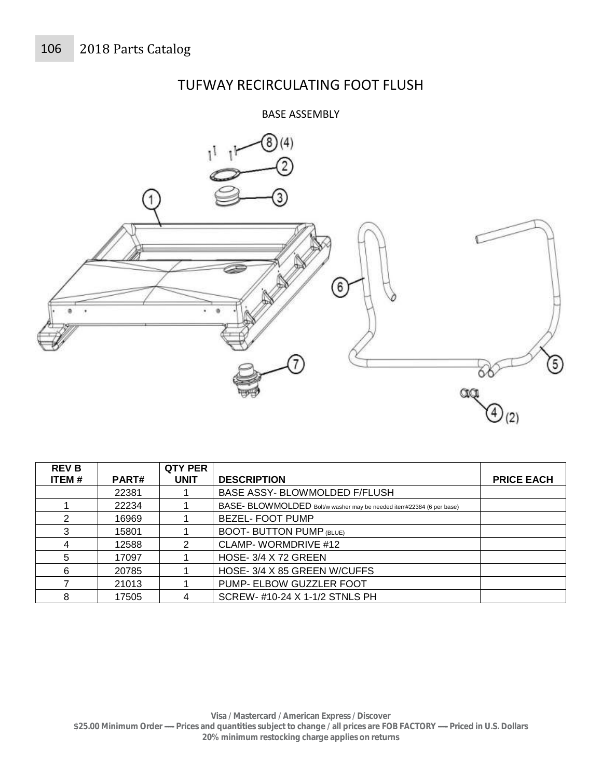# TUFWAY RECIRCULATING FOOT FLUSH

#### BASE ASSEMBLY



| <b>REV B</b> |              | <b>QTY PER</b> |                                                                      |                   |
|--------------|--------------|----------------|----------------------------------------------------------------------|-------------------|
| ITEM#        | <b>PART#</b> | <b>UNIT</b>    | <b>DESCRIPTION</b>                                                   | <b>PRICE EACH</b> |
|              | 22381        |                | BASE ASSY- BLOWMOLDED F/FLUSH                                        |                   |
|              | 22234        |                | BASE- BLOWMOLDED Bolt/w washer may be needed item#22384 (6 per base) |                   |
| 2            | 16969        |                | <b>BEZEL- FOOT PUMP</b>                                              |                   |
| 3            | 15801        |                | <b>BOOT- BUTTON PUMP (BLUE)</b>                                      |                   |
| 4            | 12588        |                | CLAMP-WORMDRIVE #12                                                  |                   |
| 5            | 17097        |                | <b>HOSE- 3/4 X 72 GREEN</b>                                          |                   |
| 6            | 20785        |                | HOSE-3/4 X 85 GREEN W/CUFFS                                          |                   |
|              | 21013        |                | PUMP- ELBOW GUZZLER FOOT                                             |                   |
| 8            | 17505        |                | SCREW- #10-24 X 1-1/2 STNLS PH                                       |                   |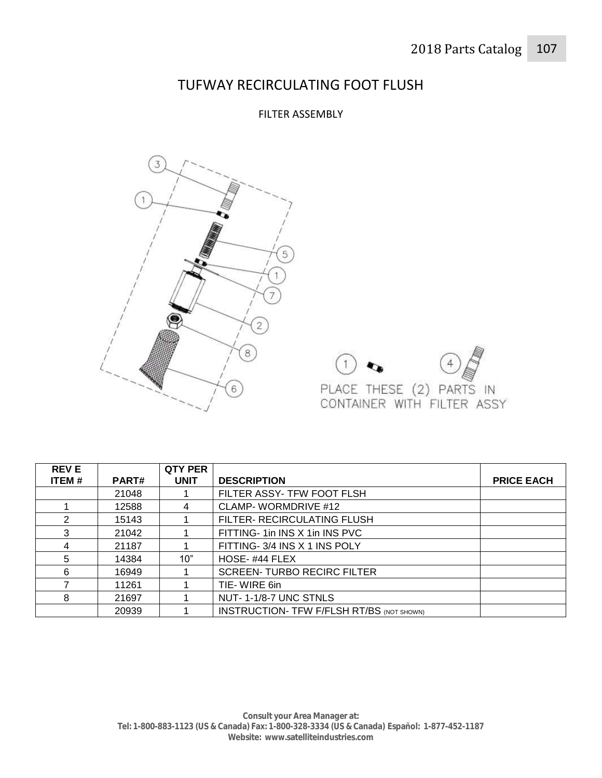#### TUFWAY RECIRCULATING FOOT FLUSH

#### FILTER ASSEMBLY





| <b>REVE</b> |              | <b>QTY PER</b> |                                                  |                   |
|-------------|--------------|----------------|--------------------------------------------------|-------------------|
| ITEM#       | <b>PART#</b> | <b>UNIT</b>    | <b>DESCRIPTION</b>                               | <b>PRICE EACH</b> |
|             | 21048        |                | FILTER ASSY- TFW FOOT FLSH                       |                   |
|             | 12588        | 4              | CLAMP-WORMDRIVE #12                              |                   |
| 2           | 15143        |                | FILTER- RECIRCULATING FLUSH                      |                   |
| 3           | 21042        |                | FITTING-1in INS X 1in INS PVC                    |                   |
| 4           | 21187        |                | FITTING- 3/4 INS X 1 INS POLY                    |                   |
| 5           | 14384        | 10"            | HOSE-#44 FLEX                                    |                   |
| 6           | 16949        |                | <b>SCREEN-TURBO RECIRC FILTER</b>                |                   |
|             | 11261        |                | TIE-WIRE 6in                                     |                   |
| 8           | 21697        |                | NUT-1-1/8-7 UNC STNLS                            |                   |
|             | 20939        |                | <b>INSTRUCTION- TFW F/FLSH RT/BS (NOT SHOWN)</b> |                   |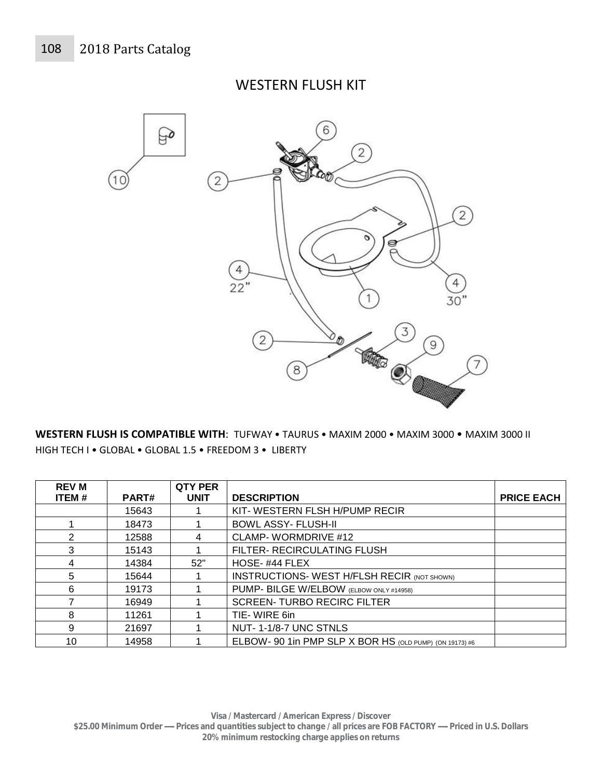#### WESTERN FLUSH KIT



**WESTERN FLUSH IS COMPATIBLE WITH**: TUFWAY • TAURUS • MAXIM 2000 • MAXIM 3000 • MAXIM 3000 II HIGH TECH I • GLOBAL • GLOBAL 1.5 • FREEDOM 3 • LIBERTY

| <b>REV M</b> |       | <b>QTY PER</b> |                                                         |                   |
|--------------|-------|----------------|---------------------------------------------------------|-------------------|
| ITEM#        | PART# | <b>UNIT</b>    | <b>DESCRIPTION</b>                                      | <b>PRICE EACH</b> |
|              | 15643 |                | KIT-WESTERN FLSH H/PUMP RECIR                           |                   |
|              | 18473 |                | <b>BOWL ASSY- FLUSH-II</b>                              |                   |
| 2            | 12588 | 4              | CLAMP- WORMDRIVE #12                                    |                   |
| 3            | 15143 |                | FILTER- RECIRCULATING FLUSH                             |                   |
| 4            | 14384 | 52"            | HOSE-#44 FLEX                                           |                   |
| 5            | 15644 |                | <b>INSTRUCTIONS- WEST H/FLSH RECIR (NOT SHOWN)</b>      |                   |
| 6            | 19173 |                | PUMP- BILGE W/ELBOW (ELBOW ONLY #14958)                 |                   |
|              | 16949 |                | <b>SCREEN-TURBO RECIRC FILTER</b>                       |                   |
| 8            | 11261 |                | TIE-WIRE 6in                                            |                   |
| 9            | 21697 |                | NUT-1-1/8-7 UNC STNLS                                   |                   |
| 10           | 14958 |                | ELBOW- 90 1in PMP SLP X BOR HS (OLD PUMP) (ON 19173) #6 |                   |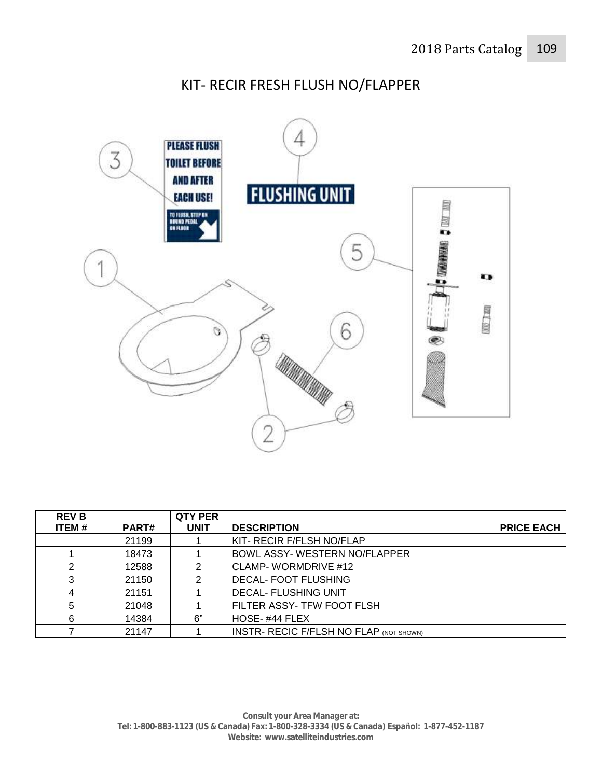### KIT- RECIR FRESH FLUSH NO/FLAPPER



| <b>REV B</b> |              | <b>QTY PER</b> |                                                |                   |
|--------------|--------------|----------------|------------------------------------------------|-------------------|
| <b>ITEM#</b> | <b>PART#</b> | <b>UNIT</b>    | <b>DESCRIPTION</b>                             | <b>PRICE EACH</b> |
|              | 21199        |                | KIT- RECIR F/FLSH NO/FLAP                      |                   |
|              | 18473        |                | BOWL ASSY- WESTERN NO/FLAPPER                  |                   |
|              | 12588        |                | <b>CLAMP-WORMDRIVE #12</b>                     |                   |
| 3            | 21150        |                | <b>DECAL- FOOT FLUSHING</b>                    |                   |
|              | 21151        |                | <b>DECAL- FLUSHING UNIT</b>                    |                   |
| 5            | 21048        |                | FILTER ASSY- TFW FOOT FLSH                     |                   |
| 6            | 14384        | 6"             | HOSE-#44 FLEX                                  |                   |
|              | 21147        |                | <b>INSTR- RECIC F/FLSH NO FLAP (NOT SHOWN)</b> |                   |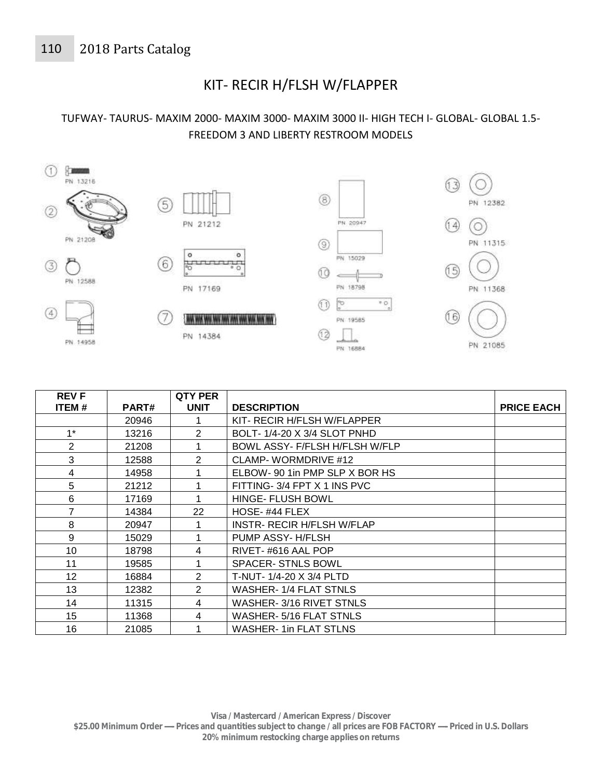# KIT- RECIR H/FLSH W/FLAPPER

#### TUFWAY- TAURUS- MAXIM 2000- MAXIM 3000- MAXIM 3000 II- HIGH TECH I- GLOBAL- GLOBAL 1.5- FREEDOM 3 AND LIBERTY RESTROOM MODELS



| <b>REVF</b>  |       | <b>QTY PER</b> |                                   |                   |
|--------------|-------|----------------|-----------------------------------|-------------------|
| <b>ITEM#</b> | PART# | <b>UNIT</b>    | <b>DESCRIPTION</b>                | <b>PRICE EACH</b> |
|              | 20946 |                | KIT- RECIR H/FLSH W/FLAPPER       |                   |
| $1^*$        | 13216 | 2              | BOLT-1/4-20 X 3/4 SLOT PNHD       |                   |
| 2            | 21208 |                | BOWL ASSY- F/FLSH H/FLSH W/FLP    |                   |
| 3            | 12588 | $\overline{2}$ | CLAMP-WORMDRIVE #12               |                   |
| 4            | 14958 |                | ELBOW- 90 1in PMP SLP X BOR HS    |                   |
| 5            | 21212 |                | FITTING- 3/4 FPT X 1 INS PVC      |                   |
| 6            | 17169 |                | HINGE- FLUSH BOWL                 |                   |
| 7            | 14384 | 22             | HOSE-#44 FLEX                     |                   |
| 8            | 20947 |                | <b>INSTR- RECIR H/FLSH W/FLAP</b> |                   |
| 9            | 15029 |                | PUMP ASSY-H/FLSH                  |                   |
| 10           | 18798 | 4              | RIVET-#616 AAL POP                |                   |
| 11           | 19585 |                | <b>SPACER-STNLS BOWL</b>          |                   |
| 12           | 16884 | $\overline{2}$ | T-NUT- 1/4-20 X 3/4 PLTD          |                   |
| 13           | 12382 | 2              | <b>WASHER-1/4 FLAT STNLS</b>      |                   |
| 14           | 11315 | 4              | WASHER-3/16 RIVET STNLS           |                   |
| 15           | 11368 | 4              | WASHER- 5/16 FLAT STNLS           |                   |
| 16           | 21085 |                | <b>WASHER-1in FLAT STLNS</b>      |                   |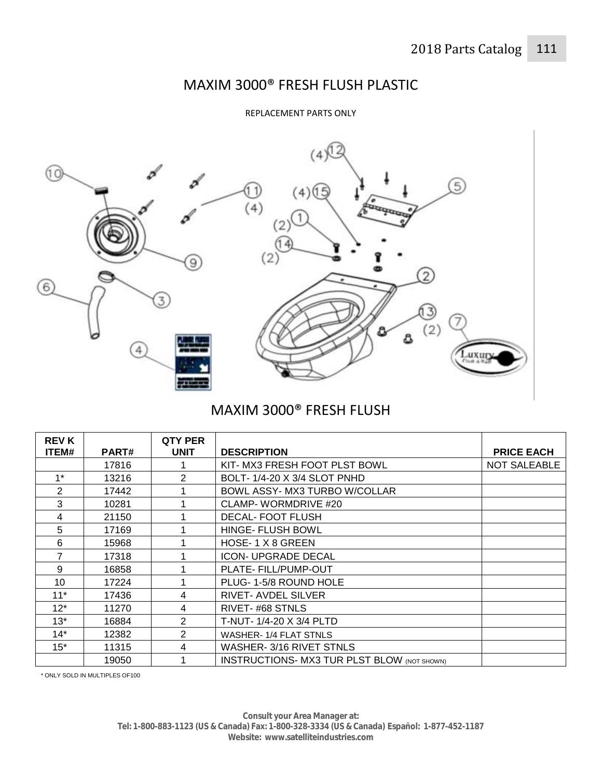# MAXIM 3000® FRESH FLUSH PLASTIC

REPLACEMENT PARTS ONLY



# MAXIM 3000® FRESH FLUSH

| <b>REV K</b><br>ITEM# | <b>PART#</b> | QTY PER<br><b>UNIT</b> | <b>DESCRIPTION</b>                                 | <b>PRICE EACH</b> |
|-----------------------|--------------|------------------------|----------------------------------------------------|-------------------|
|                       | 17816        |                        | KIT- MX3 FRESH FOOT PLST BOWL                      | NOT SALEABLE      |
| $1*$                  | 13216        | 2                      | BOLT-1/4-20 X 3/4 SLOT PNHD                        |                   |
| 2                     | 17442        |                        | BOWL ASSY- MX3 TURBO W/COLLAR                      |                   |
| 3                     | 10281        |                        | CLAMP- WORMDRIVE #20                               |                   |
| 4                     | 21150        |                        | <b>DECAL-FOOT FLUSH</b>                            |                   |
| 5                     | 17169        |                        | <b>HINGE- FLUSH BOWL</b>                           |                   |
| 6                     | 15968        |                        | HOSE-1 X 8 GREEN                                   |                   |
| 7                     | 17318        |                        | <b>ICON- UPGRADE DECAL</b>                         |                   |
| 9                     | 16858        |                        | PLATE- FILL/PUMP-OUT                               |                   |
| 10                    | 17224        |                        | PLUG-1-5/8 ROUND HOLE                              |                   |
| $11*$                 | 17436        | 4                      | <b>RIVET-AVDEL SILVER</b>                          |                   |
| $12*$                 | 11270        | 4                      | RIVET-#68 STNLS                                    |                   |
| $13*$                 | 16884        | 2                      | T-NUT- 1/4-20 X 3/4 PLTD                           |                   |
| $14*$                 | 12382        | 2                      | <b>WASHER-1/4 FLAT STNLS</b>                       |                   |
| $15*$                 | 11315        | 4                      | WASHER-3/16 RIVET STNLS                            |                   |
|                       | 19050        |                        | <b>INSTRUCTIONS- MX3 TUR PLST BLOW (NOT SHOWN)</b> |                   |

\* ONLY SOLD IN MULTIPLES OF100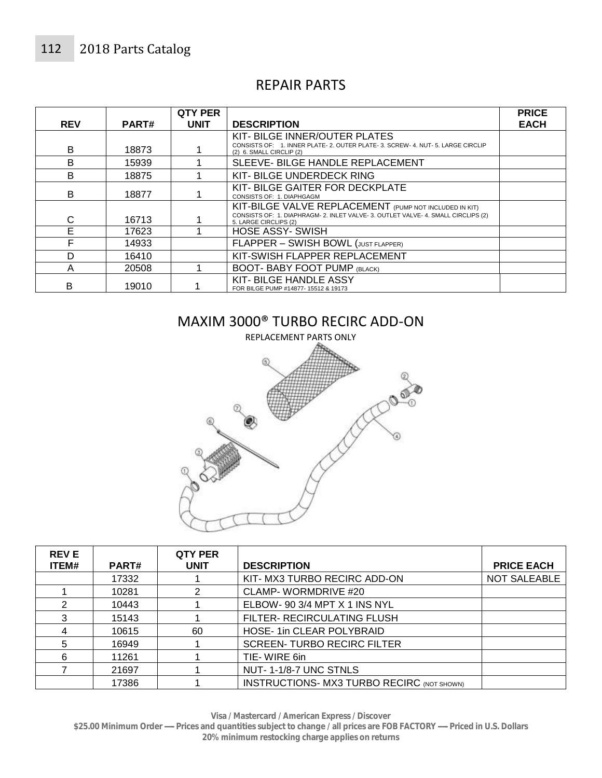#### REPAIR PARTS

| <b>REV</b> | PART# | <b>QTY PER</b><br><b>UNIT</b> | <b>DESCRIPTION</b>                                                                                                                                                   | <b>PRICE</b><br><b>EACH</b> |
|------------|-------|-------------------------------|----------------------------------------------------------------------------------------------------------------------------------------------------------------------|-----------------------------|
| B          | 18873 |                               | KIT-BILGE INNER/OUTER PLATES<br>CONSISTS OF: 1. INNER PLATE- 2. OUTER PLATE- 3. SCREW- 4. NUT- 5. LARGE CIRCLIP<br>(2) 6. SMALL CIRCLIP (2)                          |                             |
| B          | 15939 |                               | SLEEVE- BILGE HANDLE REPLACEMENT                                                                                                                                     |                             |
| B          | 18875 |                               | KIT-BILGE UNDERDECK RING                                                                                                                                             |                             |
| B          | 18877 |                               | KIT-BILGE GAITER FOR DECKPLATE<br>CONSISTS OF: 1. DIAPHGAGM                                                                                                          |                             |
| C          | 16713 |                               | KIT-BILGE VALVE REPLACEMENT (PUMP NOT INCLUDED IN KIT)<br>CONSISTS OF: 1. DIAPHRAGM- 2. INLET VALVE- 3. OUTLET VALVE- 4. SMALL CIRCLIPS (2)<br>5. LARGE CIRCLIPS (2) |                             |
| E          | 17623 |                               | <b>HOSE ASSY- SWISH</b>                                                                                                                                              |                             |
| F          | 14933 |                               | FLAPPER - SWISH BOWL (JUST FLAPPER)                                                                                                                                  |                             |
| D          | 16410 |                               | KIT-SWISH FLAPPER REPLACEMENT                                                                                                                                        |                             |
| A          | 20508 |                               | <b>BOOT- BABY FOOT PUMP (BLACK)</b>                                                                                                                                  |                             |
| B          | 19010 |                               | KIT-BILGE HANDLE ASSY<br>FOR BILGE PUMP #14877-15512 & 19173                                                                                                         |                             |

#### MAXIM 3000® TURBO RECIRC ADD-ON



| <b>REVE</b> |              | <b>QTY PER</b> |                                                   |                     |
|-------------|--------------|----------------|---------------------------------------------------|---------------------|
| ITEM#       | <b>PART#</b> | <b>UNIT</b>    | <b>DESCRIPTION</b>                                | <b>PRICE EACH</b>   |
|             | 17332        |                | KIT- MX3 TURBO RECIRC ADD-ON                      | <b>NOT SALEABLE</b> |
|             | 10281        | 2              | CLAMP-WORMDRIVE #20                               |                     |
| 2           | 10443        |                | ELBOW- 90 3/4 MPT X 1 INS NYL                     |                     |
| 3           | 15143        |                | FILTER- RECIRCULATING FLUSH                       |                     |
|             | 10615        | 60             | <b>HOSE-1in CLEAR POLYBRAID</b>                   |                     |
| 5           | 16949        |                | <b>SCREEN-TURBO RECIRC FILTER</b>                 |                     |
| 6           | 11261        |                | TIE-WIRE 6in                                      |                     |
|             | 21697        |                | NUT-1-1/8-7 UNC STNLS                             |                     |
|             | 17386        |                | <b>INSTRUCTIONS- MX3 TURBO RECIRC (NOT SHOWN)</b> |                     |

**Visa / Mastercard / American Express / Discover** 

**\$25.00 Minimum Order ----- Prices and quantities subject to change / all prices are FOB FACTORY ----- Priced in U.S. Dollars 20% minimum restocking charge applies on returns**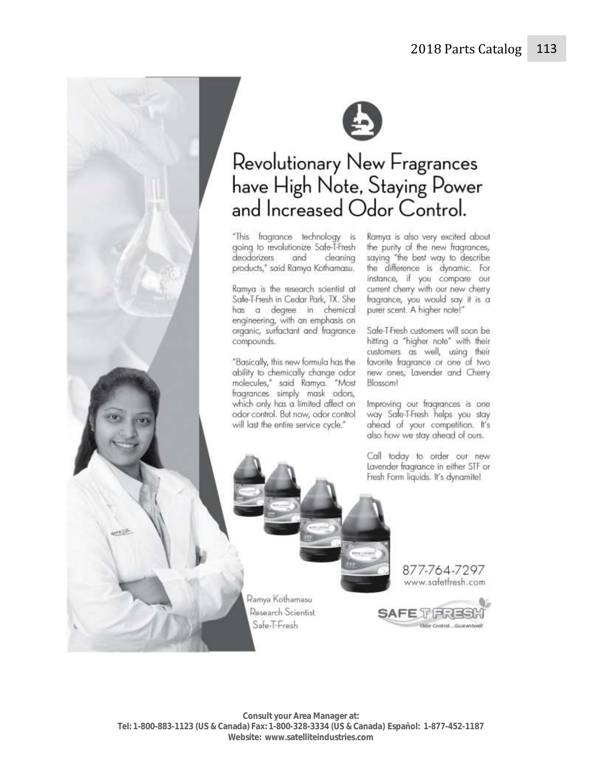



# Revolutionary New Fragrances have High Note, Staying Power<br>and Increased Odor Control.

"This fragrance technology is Ramya is also very excited about going to revolutionize Safe-T-Fresh deodorizers and cleaning products," said Ramya Kothamasu.

Ramya is the research scientist at Safe-T-Fresh in Cedar Park, TX. She has a degree in chemical engineering, with an emphasis on organic, surfactant and fragrance compounds.

"Basically, this new formula has the ability to chemically change odor molecules," said Ramya. "Most<br>fragrances simply mask odors, which only has a limited affect on odor control. But now, odor control will last the entire service cycle."

the purity of the new fragrances, saying "the best way to describe the difference is dynamic. For instance, if you compare our current cherry with our new cherry fragrance, you would say it is a purer scent. A higher note!"

Safe-T-Fresh customers will soon be hitting a "higher note" with their customers as well, using their favorite fragrance or one of two new ones, lavender and Cherry Blossom!

Improving our fragrances is one way Safe-T-Fresh helps you stay ahead of your competition. It's also how we stay ahead of ours.

Call today to order our new Lavender fragrance in either STF or Fresh Form liquids. It's dynamite!

Ramya Kothamasu Research Scientist Safe-T-Fresh

877-764-7297 www.safetfresh.com

Odor Control...Guaranteed!

**SAFE TENES**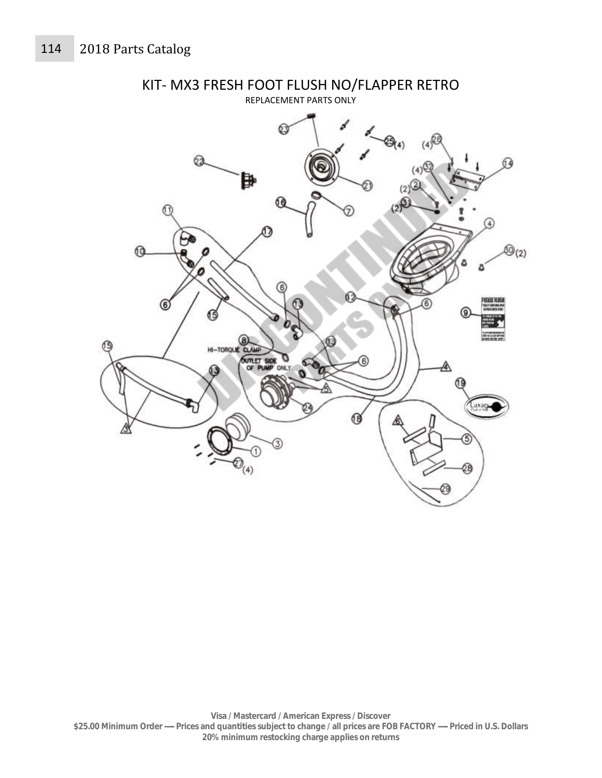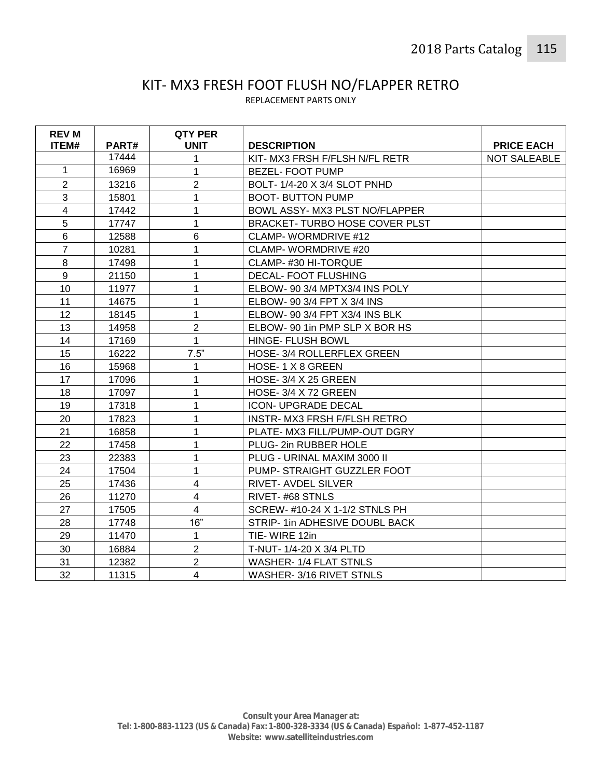#### KIT- MX3 FRESH FOOT FLUSH NO/FLAPPER RETRO REPLACEMENT PARTS ONLY

| <b>REV M</b>   |       | <b>QTY PER</b> |                                      |                   |
|----------------|-------|----------------|--------------------------------------|-------------------|
| ITEM#          | PART# | <b>UNIT</b>    | <b>DESCRIPTION</b>                   | <b>PRICE EACH</b> |
|                | 17444 | 1              | KIT-MX3 FRSH F/FLSH N/FL RETR        | NOT SALEABLE      |
| 1              | 16969 | 1              | <b>BEZEL-FOOT PUMP</b>               |                   |
| $\overline{2}$ | 13216 | $\overline{2}$ | BOLT-1/4-20 X 3/4 SLOT PNHD          |                   |
| 3              | 15801 | 1              | <b>BOOT- BUTTON PUMP</b>             |                   |
| $\overline{4}$ | 17442 | 1              | BOWL ASSY- MX3 PLST NO/FLAPPER       |                   |
| 5              | 17747 | 1              | <b>BRACKET-TURBO HOSE COVER PLST</b> |                   |
| $6\phantom{1}$ | 12588 | 6              | CLAMP- WORMDRIVE #12                 |                   |
| $\overline{7}$ | 10281 | 1              | <b>CLAMP- WORMDRIVE #20</b>          |                   |
| 8              | 17498 | 1              | CLAMP-#30 HI-TORQUE                  |                   |
| 9              | 21150 | 1              | <b>DECAL- FOOT FLUSHING</b>          |                   |
| 10             | 11977 | 1              | ELBOW- 90 3/4 MPTX3/4 INS POLY       |                   |
| 11             | 14675 | 1              | ELBOW- 90 3/4 FPT X 3/4 INS          |                   |
| 12             | 18145 | $\mathbf{1}$   | ELBOW- 90 3/4 FPT X3/4 INS BLK       |                   |
| 13             | 14958 | $\overline{2}$ | ELBOW- 90 1in PMP SLP X BOR HS       |                   |
| 14             | 17169 | $\mathbf{1}$   | HINGE- FLUSH BOWL                    |                   |
| 15             | 16222 | 7.5"           | HOSE-3/4 ROLLERFLEX GREEN            |                   |
| 16             | 15968 | 1              | HOSE-1X8GREEN                        |                   |
| 17             | 17096 | 1              | <b>HOSE- 3/4 X 25 GREEN</b>          |                   |
| 18             | 17097 | 1              | HOSE-3/4 X 72 GREEN                  |                   |
| 19             | 17318 | 1              | <b>ICON- UPGRADE DECAL</b>           |                   |
| 20             | 17823 | 1              | INSTR- MX3 FRSH F/FLSH RETRO         |                   |
| 21             | 16858 | 1              | PLATE- MX3 FILL/PUMP-OUT DGRY        |                   |
| 22             | 17458 | 1              | PLUG-2in RUBBER HOLE                 |                   |
| 23             | 22383 | 1              | PLUG - URINAL MAXIM 3000 II          |                   |
| 24             | 17504 | 1              | PUMP- STRAIGHT GUZZLER FOOT          |                   |
| 25             | 17436 | $\overline{4}$ | RIVET- AVDEL SILVER                  |                   |
| 26             | 11270 | $\overline{4}$ | RIVET-#68 STNLS                      |                   |
| 27             | 17505 | $\overline{4}$ | SCREW- #10-24 X 1-1/2 STNLS PH       |                   |
| 28             | 17748 | 16"            | STRIP- 1in ADHESIVE DOUBL BACK       |                   |
| 29             | 11470 | $\mathbf 1$    | TIE-WIRE 12in                        |                   |
| 30             | 16884 | $\overline{2}$ | T-NUT- 1/4-20 X 3/4 PLTD             |                   |
| 31             | 12382 | $\overline{2}$ | <b>WASHER-1/4 FLAT STNLS</b>         |                   |
| 32             | 11315 | 4              | WASHER-3/16 RIVET STNLS              |                   |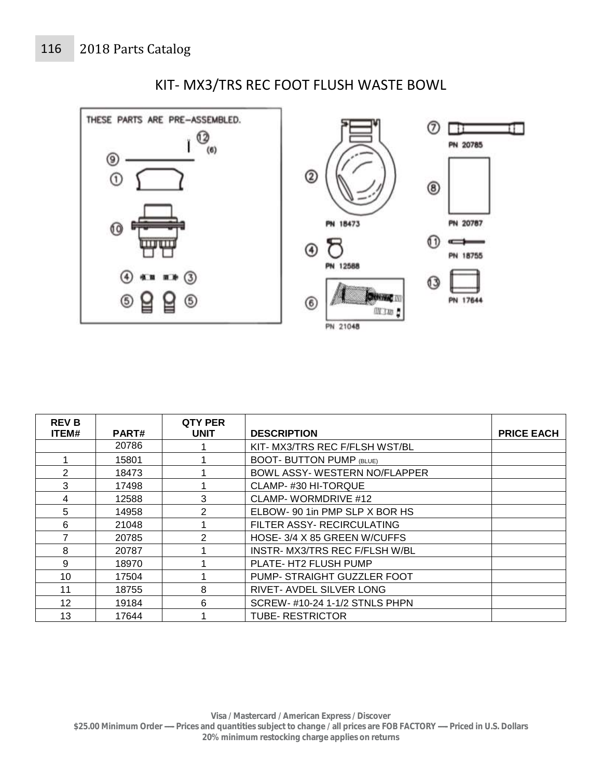

## KIT- MX3/TRS REC FOOT FLUSH WASTE BOWL

| <b>REVB</b>    |       | QTY PER       |                                 |                   |
|----------------|-------|---------------|---------------------------------|-------------------|
| ITEM#          | PART# | <b>UNIT</b>   | <b>DESCRIPTION</b>              | <b>PRICE EACH</b> |
|                | 20786 |               | KIT- MX3/TRS REC F/FLSH WST/BL  |                   |
|                | 15801 |               | <b>BOOT- BUTTON PUMP (BLUE)</b> |                   |
| $\overline{2}$ | 18473 |               | BOWL ASSY- WESTERN NO/FLAPPER   |                   |
| 3              | 17498 |               | CLAMP-#30 HI-TORQUE             |                   |
| 4              | 12588 | 3             | CLAMP-WORMDRIVE #12             |                   |
| 5              | 14958 | $\mathcal{P}$ | ELBOW- 90 1in PMP SLP X BOR HS  |                   |
| 6              | 21048 |               | FILTER ASSY- RECIRCULATING      |                   |
| 7              | 20785 | 2             | HOSE-3/4 X 85 GREEN W/CUFFS     |                   |
| 8              | 20787 |               | INSTR-MX3/TRS REC F/FLSH W/BL   |                   |
| 9              | 18970 |               | PLATE- HT2 FLUSH PUMP           |                   |
| 10             | 17504 |               | PUMP- STRAIGHT GUZZLER FOOT     |                   |
| 11             | 18755 | 8             | RIVET- AVDEL SILVER LONG        |                   |
| 12             | 19184 | 6             | SCREW- #10-24 1-1/2 STNLS PHPN  |                   |
| 13             | 17644 |               | <b>TUBE- RESTRICTOR</b>         |                   |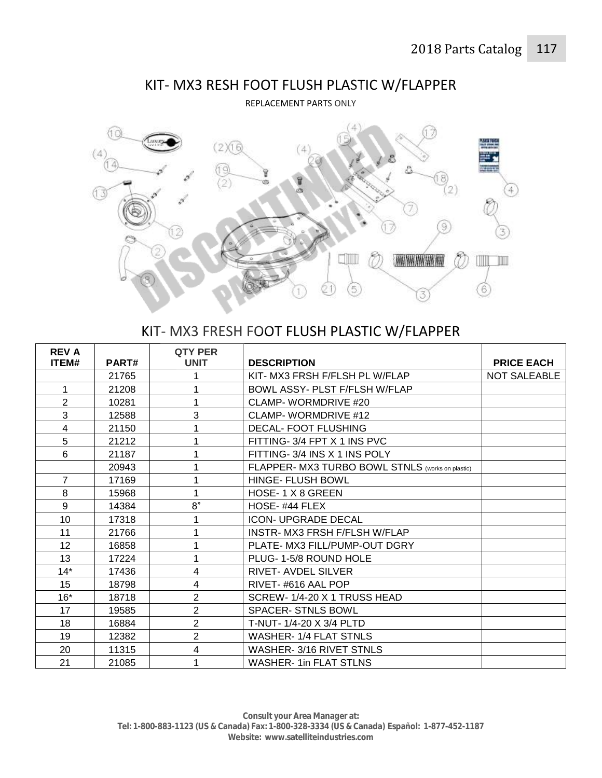

# KIT- MX3 RESH FOOT FLUSH PLASTIC W/FLAPPER

REPLACEMENT PARTS ONLY

# KIT- MX3 FRESH FOOT FLUSH PLASTIC W/FLAPPER

| <b>REV A</b>             |       | QTY PER        |                                                  |                   |
|--------------------------|-------|----------------|--------------------------------------------------|-------------------|
| ITEM#                    | PART# | <b>UNIT</b>    | <b>DESCRIPTION</b>                               | <b>PRICE EACH</b> |
|                          | 21765 | 1              | KIT- MX3 FRSH F/FLSH PL W/FLAP                   | NOT SALEABLE      |
| 1                        | 21208 | 1              | BOWL ASSY- PLST F/FLSH W/FLAP                    |                   |
| $\overline{2}$           | 10281 | 1              | CLAMP- WORMDRIVE #20                             |                   |
| 3                        | 12588 | 3              | CLAMP-WORMDRIVE #12                              |                   |
| $\overline{\mathcal{A}}$ | 21150 | 1              | <b>DECAL-FOOT FLUSHING</b>                       |                   |
| 5                        | 21212 | 1              | FITTING- 3/4 FPT X 1 INS PVC                     |                   |
| 6                        | 21187 | 1              | FITTING-3/4 INS X 1 INS POLY                     |                   |
|                          | 20943 | 1              | FLAPPER- MX3 TURBO BOWL STNLS (works on plastic) |                   |
| $\overline{7}$           | 17169 | 1              | <b>HINGE- FLUSH BOWL</b>                         |                   |
| 8                        | 15968 | 1              | HOSE-1 X 8 GREEN                                 |                   |
| 9                        | 14384 | 8"             | HOSE-#44 FLEX                                    |                   |
| 10                       | 17318 | 1              | <b>ICON- UPGRADE DECAL</b>                       |                   |
| 11                       | 21766 | 1              | INSTR- MX3 FRSH F/FLSH W/FLAP                    |                   |
| 12                       | 16858 | 1              | PLATE- MX3 FILL/PUMP-OUT DGRY                    |                   |
| 13                       | 17224 | 1              | PLUG-1-5/8 ROUND HOLE                            |                   |
| $14*$                    | 17436 | 4              | <b>RIVET-AVDEL SILVER</b>                        |                   |
| 15                       | 18798 | $\overline{4}$ | RIVET-#616 AAL POP                               |                   |
| $16*$                    | 18718 | $\overline{2}$ | SCREW-1/4-20 X 1 TRUSS HEAD                      |                   |
| 17                       | 19585 | $\overline{2}$ | <b>SPACER-STNLS BOWL</b>                         |                   |
| 18                       | 16884 | $\overline{2}$ | T-NUT- 1/4-20 X 3/4 PLTD                         |                   |
| 19                       | 12382 | $\overline{2}$ | <b>WASHER-1/4 FLAT STNLS</b>                     |                   |
| 20                       | 11315 | 4              | WASHER-3/16 RIVET STNLS                          |                   |
| 21                       | 21085 | 1              | <b>WASHER-1in FLAT STLNS</b>                     |                   |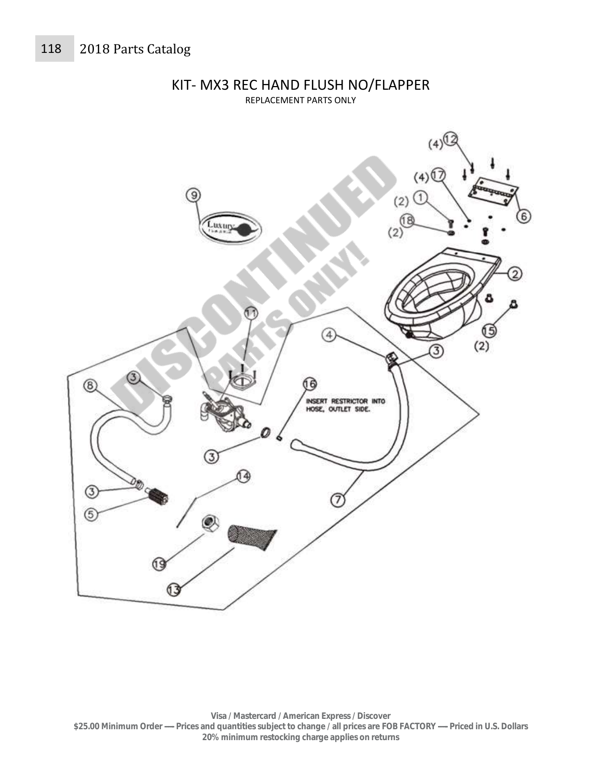

KIT- MX3 REC HAND FLUSH NO/FLAPPER REPLACEMENT PARTS ONLY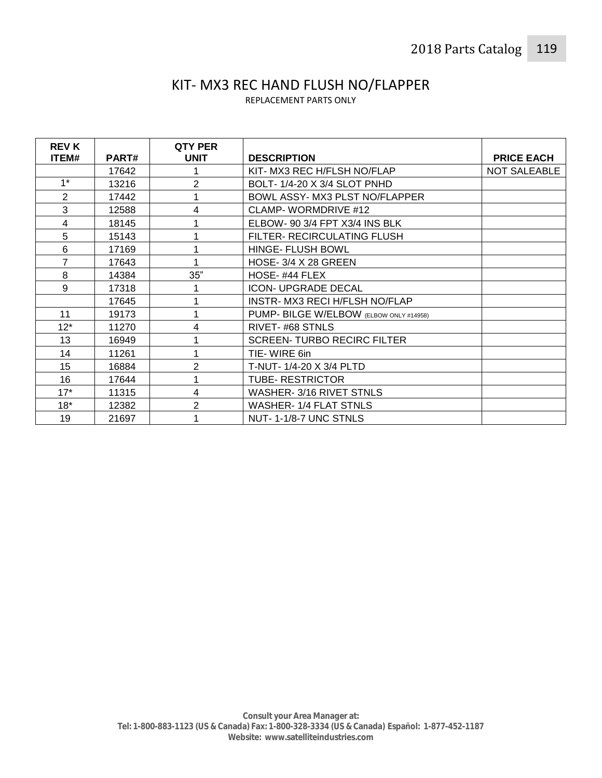# KIT- MX3 REC HAND FLUSH NO/FLAPPER

REPLACEMENT PARTS ONLY

| <b>REV K</b>     |              | <b>QTY PER</b> |                                         |                   |
|------------------|--------------|----------------|-----------------------------------------|-------------------|
| ITEM#            | <b>PART#</b> | <b>UNIT</b>    | <b>DESCRIPTION</b>                      | <b>PRICE EACH</b> |
|                  | 17642        |                | KIT- MX3 REC H/FLSH NO/FLAP             | NOT SALEABLE      |
| $1^*$            | 13216        | $\overline{2}$ | BOLT-1/4-20 X 3/4 SLOT PNHD             |                   |
| 2                | 17442        | 1              | BOWL ASSY- MX3 PLST NO/FLAPPER          |                   |
| 3                | 12588        | 4              | CLAMP-WORMDRIVE #12                     |                   |
| 4                | 18145        |                | ELBOW- 90 3/4 FPT X3/4 INS BLK          |                   |
| 5                | 15143        |                | FILTER- RECIRCULATING FLUSH             |                   |
| 6                | 17169        | 1              | <b>HINGE- FLUSH BOWL</b>                |                   |
| $\overline{7}$   | 17643        | 1              | <b>HOSE- 3/4 X 28 GREEN</b>             |                   |
| 8                | 14384        | 35"            | HOSE-#44 FLEX                           |                   |
| 9                | 17318        |                | <b>ICON- UPGRADE DECAL</b>              |                   |
|                  | 17645        | 1              | INSTR- MX3 RECI H/FLSH NO/FLAP          |                   |
| 11               | 19173        | 1              | PUMP- BILGE W/ELBOW (ELBOW ONLY #14958) |                   |
| $12*$            | 11270        | 4              | RIVET-#68 STNLS                         |                   |
| 13               | 16949        | 1              | <b>SCREEN-TURBO RECIRC FILTER</b>       |                   |
| 14               | 11261        | 1              | TIE-WIRE 6in                            |                   |
| 15 <sub>15</sub> | 16884        | $\overline{2}$ | T-NUT- 1/4-20 X 3/4 PLTD                |                   |
| 16               | 17644        | 1              | <b>TUBE- RESTRICTOR</b>                 |                   |
| $17*$            | 11315        | 4              | WASHER-3/16 RIVET STNLS                 |                   |
| $18*$            | 12382        | 2              | <b>WASHER-1/4 FLAT STNLS</b>            |                   |
| 19               | 21697        |                | NUT-1-1/8-7 UNC STNLS                   |                   |